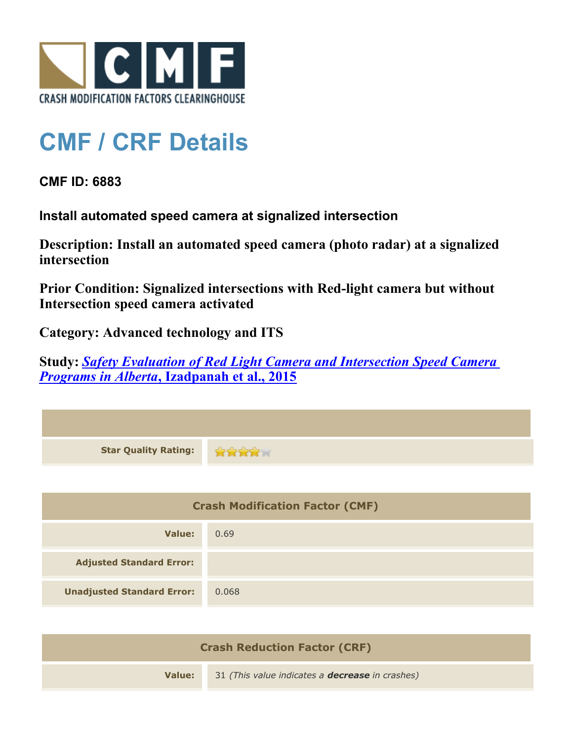

## **CMF / CRF Details**

**CMF ID: 6883**

**Install automated speed camera at signalized intersection**

**Description: Install an automated speed camera (photo radar) at a signalized intersection**

**Prior Condition: Signalized intersections with Red-light camera but without Intersection speed camera activated**

**Category: Advanced technology and ITS**

**Study:** *[Safety Evaluation of Red Light Camera and Intersection Speed Camera](http://www.cmfclearinghouse.org/study_detail.cfm?stid=412) [Programs in Alberta](http://www.cmfclearinghouse.org/study_detail.cfm?stid=412)***[, Izadpanah et al., 2015](http://www.cmfclearinghouse.org/study_detail.cfm?stid=412)**

| <b>Star Quality Rating:</b>            | <b>REEL</b> |  |
|----------------------------------------|-------------|--|
|                                        |             |  |
| <b>Crash Modification Factor (CMF)</b> |             |  |
| <b>Value:</b>                          | 0.69        |  |
| <b>Adjusted Standard Error:</b>        |             |  |
| <b>Unadjusted Standard Error:</b>      | 0.068       |  |
|                                        |             |  |

| <b>Crash Reduction Factor (CRF)</b> |                                                        |  |
|-------------------------------------|--------------------------------------------------------|--|
| Value:                              | 31 (This value indicates a <b>decrease</b> in crashes) |  |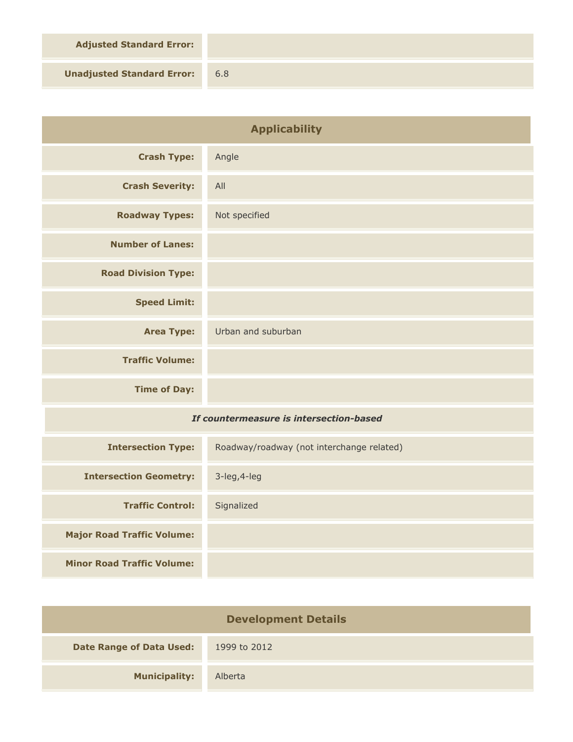**Adjusted Standard Error:**

**Unadjusted Standard Error:** 6.8

| <b>Applicability</b>                    |                                           |
|-----------------------------------------|-------------------------------------------|
| <b>Crash Type:</b>                      | Angle                                     |
| <b>Crash Severity:</b>                  | All                                       |
| <b>Roadway Types:</b>                   | Not specified                             |
| <b>Number of Lanes:</b>                 |                                           |
| <b>Road Division Type:</b>              |                                           |
| <b>Speed Limit:</b>                     |                                           |
| <b>Area Type:</b>                       | Urban and suburban                        |
| <b>Traffic Volume:</b>                  |                                           |
| <b>Time of Day:</b>                     |                                           |
| If countermeasure is intersection-based |                                           |
| <b>Intersection Type:</b>               | Roadway/roadway (not interchange related) |
| <b>Intersection Geometry:</b>           | 3-leg, 4-leg                              |
| <b>Traffic Control:</b>                 | Signalized                                |
| <b>Major Road Traffic Volume:</b>       |                                           |
| <b>Minor Road Traffic Volume:</b>       |                                           |

| <b>Development Details</b>      |              |  |
|---------------------------------|--------------|--|
| <b>Date Range of Data Used:</b> | 1999 to 2012 |  |
| <b>Municipality:</b>            | Alberta      |  |